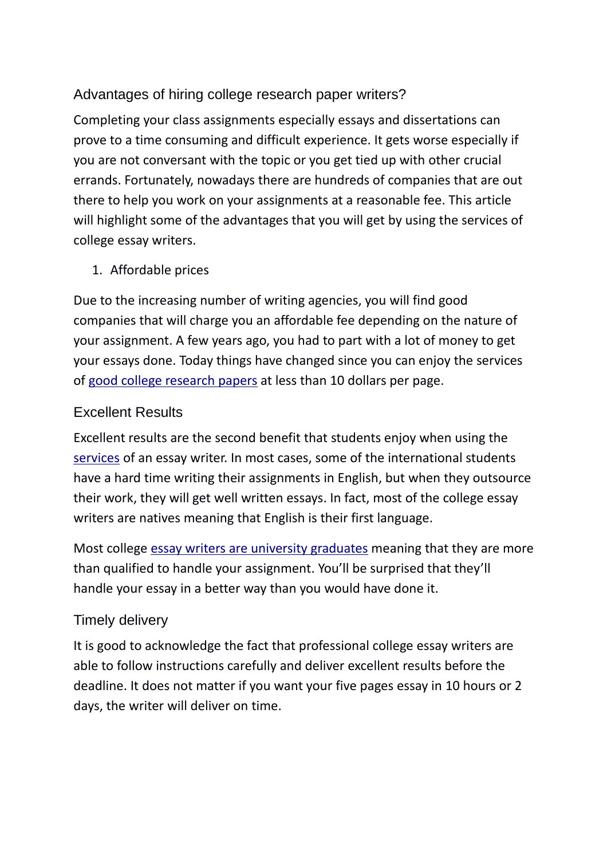# Advantages of hiring college research paper writers?

Completing your class assignments especially essays and dissertations can prove to a time consuming and difficult experience. It gets worse especially if you are not conversant with the topic or you get tied up with other crucial errands. Fortunately, nowadays there are hundreds of companies that are out there to help you work on your assignments at a reasonable fee. This article will highlight some of the advantages that you will get by using the services of college essay writers.

### 1. Affordable prices

Due to the increasing number of writing agencies, you will find good companies that will charge you an affordable fee depending on the nature of your assignment. A few years ago, you had to part with a lot of money to get your essays done. Today things have changed since you can enjoy the services of good college research papers at less than 10 dollars per page.

### Excellent Results

Excellent results are the second benefit that students enjoy when using the [services](https://www.essayhave.com/research-paper-writing-service.html) of an essay writer. In most cases, some of the international students have a hard time writing their assignments in English, but when they outsource their work, they will get well written essays. In fact, most of the college essay writers are natives meaning that English is their first language.

Most college [essay writers are university graduates](https://www.essayhave.com/team.html) meaning that they are more than qualified to handle your assignment. You'll be surprised that they'll handle your essay in a better way than you would have done it.

## Timely delivery

It is good to acknowledge the fact that professional college essay writers are able to follow instructions carefully and deliver excellent results before the deadline. It does not matter if you want your five pages essay in 10 hours or 2 days, the writer will deliver on time.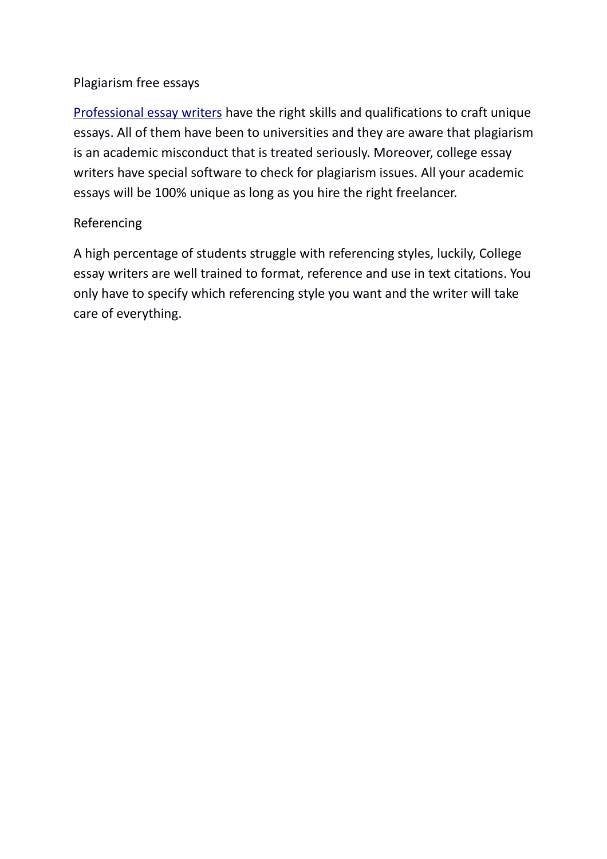### Plagiarism free essays

[Professional essay writers](https://www.essayhave.com/team.html) have the right skills and qualifications to craft unique essays. All of them have been to universities and they are aware that plagiarism is an academic misconduct that is treated seriously. Moreover, college essay writers have special software to check for plagiarism issues. All your academic essays will be 100% unique as long as you hire the right freelancer.

#### Referencing

A high percentage of students struggle with referencing styles, luckily, College essay writers are well trained to format, reference and use in text citations. You only have to specify which referencing style you want and the writer will take care of everything.